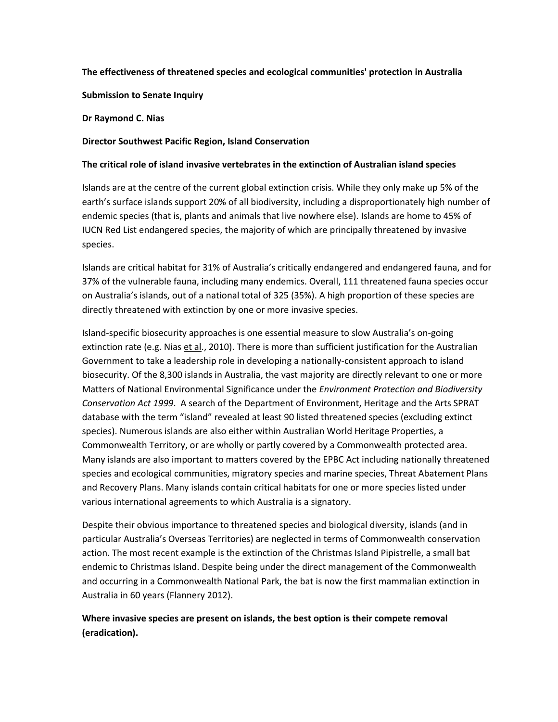#### **The effectiveness of threatened species and ecological communities' protection in Australia**

**Submission to Senate Inquiry**

**Dr Raymond C. Nias**

#### **Director Southwest Pacific Region, Island Conservation**

#### **The critical role of island invasive vertebrates in the extinction of Australian island species**

Islands are at the centre of the current global extinction crisis. While they only make up 5% of the earth's surface islands support 20% of all biodiversity, including a disproportionately high number of endemic species (that is, plants and animals that live nowhere else). Islands are home to 45% of IUCN Red List endangered species, the majority of which are principally threatened by invasive species.

Islands are critical habitat for 31% of Australia's critically endangered and endangered fauna, and for 37% of the vulnerable fauna, including many endemics. Overall, 111 threatened fauna species occur on Australia's islands, out of a national total of 325 (35%). A high proportion of these species are directly threatened with extinction by one or more invasive species.

Island-specific biosecurity approaches is one essential measure to slow Australia's on-going extinction rate (e.g. Nias et al., 2010). There is more than sufficient justification for the Australian Government to take a leadership role in developing a nationally-consistent approach to island biosecurity. Of the 8,300 islands in Australia, the vast majority are directly relevant to one or more Matters of National Environmental Significance under the *Environment Protection and Biodiversity Conservation Act 1999*. A search of the Department of Environment, Heritage and the Arts SPRAT database with the term "island" revealed at least 90 listed threatened species (excluding extinct species). Numerous islands are also either within Australian World Heritage Properties, a Commonwealth Territory, or are wholly or partly covered by a Commonwealth protected area. Many islands are also important to matters covered by the EPBC Act including nationally [threatened](http://www.environment.gov.au/epbc/about/lists.html#species)  [species and ecological communities, migratory species and marine species,](http://www.environment.gov.au/epbc/about/lists.html#species) Threat Abatement Plans and Recovery Plans. Many islands contain critical habitats for one or more species listed under various international agreements to which Australia is a signatory.

Despite their obvious importance to threatened species and biological diversity, islands (and in particular Australia's Overseas Territories) are neglected in terms of Commonwealth conservation action. The most recent example is the extinction of the Christmas Island Pipistrelle, a small bat endemic to Christmas Island. Despite being under the direct management of the Commonwealth and occurring in a Commonwealth National Park, the bat is now the first mammalian extinction in Australia in 60 years (Flannery 2012).

**Where invasive species are present on islands, the best option is their compete removal (eradication).**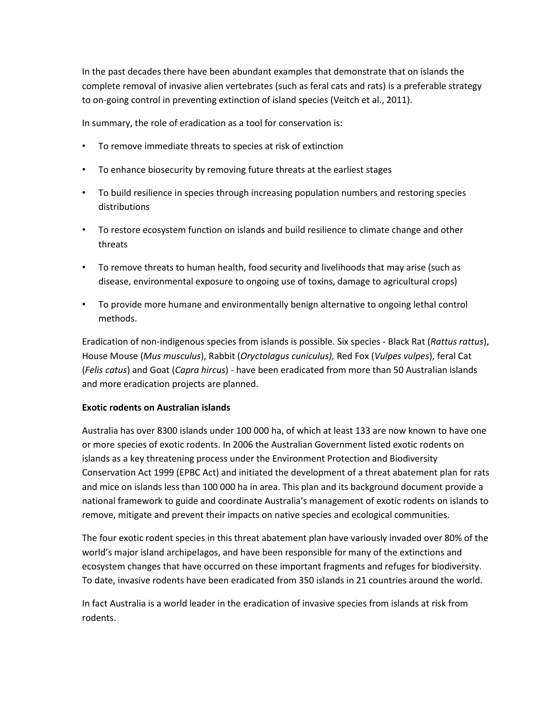In the past decades there have been abundant examples that demonstrate that on islands the complete removal of invasive alien vertebrates (such as feral cats and rats) is a preferable strategy to on-going control in preventing extinction of island species (Veitch et al., 2011).

In summary, the role of eradication as a tool for conservation is:

- To remove immediate threats to species at risk of extinction
- To enhance biosecurity by removing future threats at the earliest stages
- To build resilience in species through increasing population numbers and restoring species distributions
- To restore ecosystem function on islands and build resilience to climate change and other threats
- To remove threats to human health, food security and livelihoods that may arise (such as disease, environmental exposure to ongoing use of toxins, damage to agricultural crops)
- To provide more humane and environmentally benign alternative to ongoing lethal control methods.

Eradication of non-indigenous species from islands is possible. Six species - Black Rat (*Rattus rattus*), House Mouse (*Mus musculus*), Rabbit (*Oryctolagus cuniculus),* Red Fox (*Vulpes vulpes*), feral Cat (*Felis catus*) and Goat (*Capra hircus*) - have been eradicated from more than 50 Australian islands and more eradication projects are planned.

#### **Exotic rodents on Australian islands**

Australia has over 8300 islands under 100 000 ha, of which at least 133 are now known to have one or more species of exotic rodents. In 2006 the Australian Government listed exotic rodents on islands as a key threatening process under the Environment Protection and Biodiversity Conservation Act 1999 (EPBC Act) and initiated the development of a threat abatement plan for rats and mice on islands less than 100 000 ha in area. This plan and its background document provide a national framework to guide and coordinate Australia's management of exotic rodents on islands to remove, mitigate and prevent their impacts on native species and ecological communities.

The four exotic rodent species in this threat abatement plan have variously invaded over 80% of the world's major island archipelagos, and have been responsible for many of the extinctions and ecosystem changes that have occurred on these important fragments and refuges for biodiversity. To date, invasive rodents have been eradicated from 350 islands in 21 countries around the world.

In fact Australia is a world leader in the eradication of invasive species from islands at risk from rodents.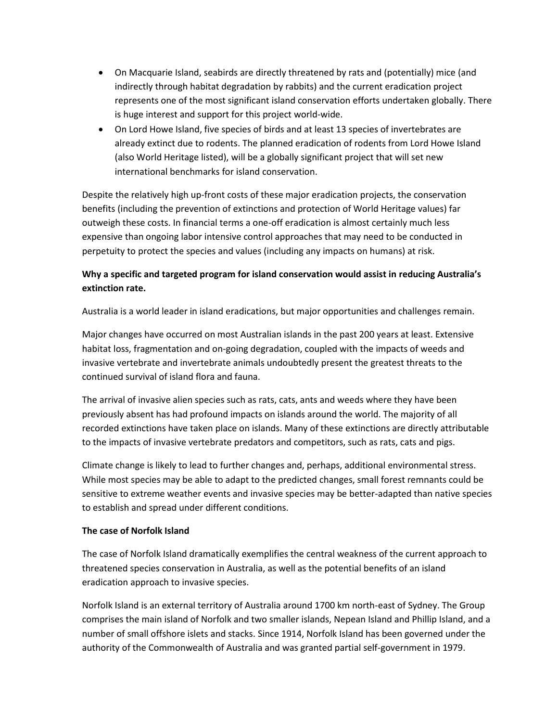- On Macquarie Island, seabirds are directly threatened by rats and (potentially) mice (and indirectly through habitat degradation by rabbits) and the current eradication project represents one of the most significant island conservation efforts undertaken globally. There is huge interest and support for this project world-wide.
- On Lord Howe Island, five species of birds and at least 13 species of invertebrates are already extinct due to rodents. The planned eradication of rodents from Lord Howe Island (also World Heritage listed), will be a globally significant project that will set new international benchmarks for island conservation.

Despite the relatively high up-front costs of these major eradication projects, the conservation benefits (including the prevention of extinctions and protection of World Heritage values) far outweigh these costs. In financial terms a one-off eradication is almost certainly much less expensive than ongoing labor intensive control approaches that may need to be conducted in perpetuity to protect the species and values (including any impacts on humans) at risk.

## **Why a specific and targeted program for island conservation would assist in reducing Australia's extinction rate.**

Australia is a world leader in island eradications, but major opportunities and challenges remain.

Major changes have occurred on most Australian islands in the past 200 years at least. Extensive habitat loss, fragmentation and on-going degradation, coupled with the impacts of weeds and invasive vertebrate and invertebrate animals undoubtedly present the greatest threats to the continued survival of island flora and fauna.

The arrival of invasive alien species such as rats, cats, ants and weeds where they have been previously absent has had profound impacts on islands around the world. The majority of all recorded extinctions have taken place on islands. Many of these extinctions are directly attributable to the impacts of invasive vertebrate predators and competitors, such as rats, cats and pigs.

Climate change is likely to lead to further changes and, perhaps, additional environmental stress. While most species may be able to adapt to the predicted changes, small forest remnants could be sensitive to extreme weather events and invasive species may be better-adapted than native species to establish and spread under different conditions.

## **The case of Norfolk Island**

The case of Norfolk Island dramatically exemplifies the central weakness of the current approach to threatened species conservation in Australia, as well as the potential benefits of an island eradication approach to invasive species.

Norfolk Island is an external territory of Australia around 1700 km north-east of Sydney. The Group comprises the main island of Norfolk and two smaller islands, Nepean Island and Phillip Island, and a number of small offshore islets and stacks. Since 1914, Norfolk Island has been governed under the authority of the Commonwealth of Australia and was granted partial self-government in 1979.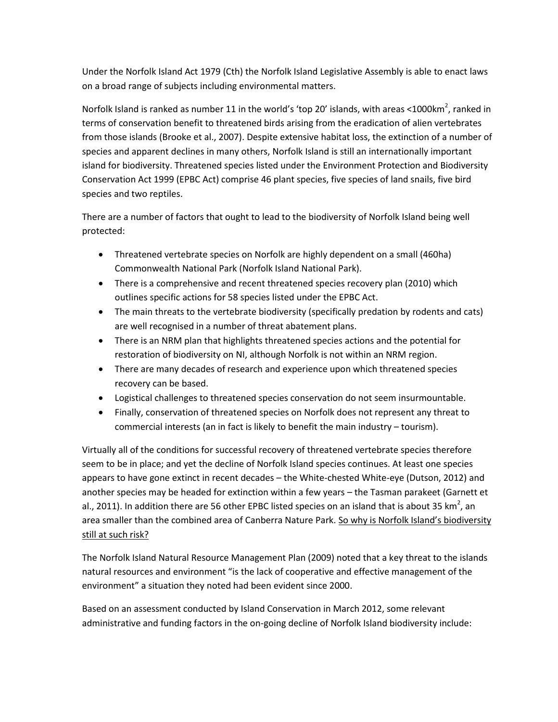Under the Norfolk Island Act 1979 (Cth) the Norfolk Island Legislative Assembly is able to enact laws on a broad range of subjects including environmental matters.

Norfolk Island is ranked as number 11 in the world's 'top 20' islands, with areas <1000km<sup>2</sup>, ranked in terms of conservation benefit to threatened birds arising from the eradication of alien vertebrates from those islands (Brooke et al., 2007). Despite extensive habitat loss, the extinction of a number of species and apparent declines in many others, Norfolk Island is still an internationally important island for biodiversity. Threatened species listed under the Environment Protection and Biodiversity Conservation Act 1999 (EPBC Act) comprise 46 plant species, five species of land snails, five bird species and two reptiles.

There are a number of factors that ought to lead to the biodiversity of Norfolk Island being well protected:

- Threatened vertebrate species on Norfolk are highly dependent on a small (460ha) Commonwealth National Park (Norfolk Island National Park).
- There is a comprehensive and recent threatened species recovery plan (2010) which outlines specific actions for 58 species listed under the EPBC Act.
- The main threats to the vertebrate biodiversity (specifically predation by rodents and cats) are well recognised in a number of threat abatement plans.
- There is an NRM plan that highlights threatened species actions and the potential for restoration of biodiversity on NI, although Norfolk is not within an NRM region.
- There are many decades of research and experience upon which threatened species recovery can be based.
- Logistical challenges to threatened species conservation do not seem insurmountable.
- Finally, conservation of threatened species on Norfolk does not represent any threat to commercial interests (an in fact is likely to benefit the main industry – tourism).

Virtually all of the conditions for successful recovery of threatened vertebrate species therefore seem to be in place; and yet the decline of Norfolk Island species continues. At least one species appears to have gone extinct in recent decades – the White-chested White-eye (Dutson, 2012) and another species may be headed for extinction within a few years – the Tasman parakeet (Garnett et al., 2011). In addition there are 56 other EPBC listed species on an island that is about 35 km<sup>2</sup>, an area smaller than the combined area of Canberra Nature Park. So why is Norfolk Island's biodiversity still at such risk?

The Norfolk Island Natural Resource Management Plan (2009) noted that a key threat to the islands natural resources and environment "is the lack of cooperative and effective management of the environment" a situation they noted had been evident since 2000.

Based on an assessment conducted by Island Conservation in March 2012, some relevant administrative and funding factors in the on-going decline of Norfolk Island biodiversity include: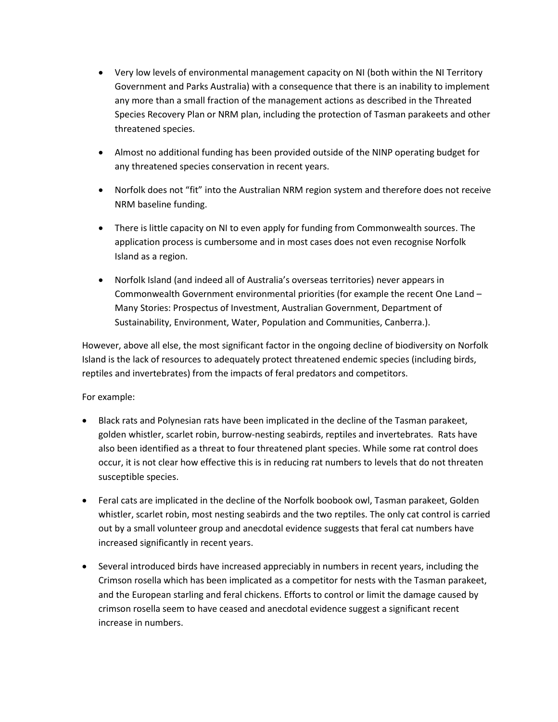- Very low levels of environmental management capacity on NI (both within the NI Territory Government and Parks Australia) with a consequence that there is an inability to implement any more than a small fraction of the management actions as described in the Threated Species Recovery Plan or NRM plan, including the protection of Tasman parakeets and other threatened species.
- Almost no additional funding has been provided outside of the NINP operating budget for any threatened species conservation in recent years.
- Norfolk does not "fit" into the Australian NRM region system and therefore does not receive NRM baseline funding.
- There is little capacity on NI to even apply for funding from Commonwealth sources. The application process is cumbersome and in most cases does not even recognise Norfolk Island as a region.
- Norfolk Island (and indeed all of Australia's overseas territories) never appears in Commonwealth Government environmental priorities (for example the recent One Land – Many Stories: Prospectus of Investment, Australian Government, Department of Sustainability, Environment, Water, Population and Communities, Canberra.).

However, above all else, the most significant factor in the ongoing decline of biodiversity on Norfolk Island is the lack of resources to adequately protect threatened endemic species (including birds, reptiles and invertebrates) from the impacts of feral predators and competitors.

## For example:

- Black rats and Polynesian rats have been implicated in the decline of the Tasman parakeet, golden whistler, scarlet robin, burrow-nesting seabirds, reptiles and invertebrates. Rats have also been identified as a threat to four threatened plant species. While some rat control does occur, it is not clear how effective this is in reducing rat numbers to levels that do not threaten susceptible species.
- Feral cats are implicated in the decline of the Norfolk boobook owl, Tasman parakeet, Golden whistler, scarlet robin, most nesting seabirds and the two reptiles. The only cat control is carried out by a small volunteer group and anecdotal evidence suggests that feral cat numbers have increased significantly in recent years.
- Several introduced birds have increased appreciably in numbers in recent years, including the Crimson rosella which has been implicated as a competitor for nests with the Tasman parakeet, and the European starling and feral chickens. Efforts to control or limit the damage caused by crimson rosella seem to have ceased and anecdotal evidence suggest a significant recent increase in numbers.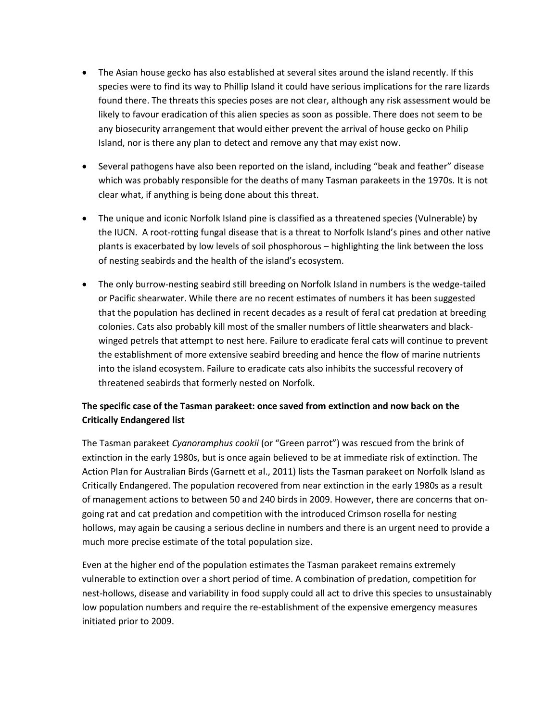- The Asian house gecko has also established at several sites around the island recently. If this species were to find its way to Phillip Island it could have serious implications for the rare lizards found there. The threats this species poses are not clear, although any risk assessment would be likely to favour eradication of this alien species as soon as possible. There does not seem to be any biosecurity arrangement that would either prevent the arrival of house gecko on Philip Island, nor is there any plan to detect and remove any that may exist now.
- Several pathogens have also been reported on the island, including "beak and feather" disease which was probably responsible for the deaths of many Tasman parakeets in the 1970s. It is not clear what, if anything is being done about this threat.
- The unique and iconic Norfolk Island pine is classified as a threatened species (Vulnerable) by the IUCN. A root-rotting fungal disease that is a threat to Norfolk Island's pines and other native plants is exacerbated by low levels of soil phosphorous – highlighting the link between the loss of nesting seabirds and the health of the island's ecosystem.
- The only burrow-nesting seabird still breeding on Norfolk Island in numbers is the wedge-tailed or Pacific shearwater. While there are no recent estimates of numbers it has been suggested that the population has declined in recent decades as a result of feral cat predation at breeding colonies. Cats also probably kill most of the smaller numbers of little shearwaters and blackwinged petrels that attempt to nest here. Failure to eradicate feral cats will continue to prevent the establishment of more extensive seabird breeding and hence the flow of marine nutrients into the island ecosystem. Failure to eradicate cats also inhibits the successful recovery of threatened seabirds that formerly nested on Norfolk.

## **The specific case of the Tasman parakeet: once saved from extinction and now back on the Critically Endangered list**

The Tasman parakeet *Cyanoramphus cookii* (or "Green parrot") was rescued from the brink of extinction in the early 1980s, but is once again believed to be at immediate risk of extinction. The Action Plan for Australian Birds (Garnett et al., 2011) lists the Tasman parakeet on Norfolk Island as Critically Endangered. The population recovered from near extinction in the early 1980s as a result of management actions to between 50 and 240 birds in 2009. However, there are concerns that ongoing rat and cat predation and competition with the introduced Crimson rosella for nesting hollows, may again be causing a serious decline in numbers and there is an urgent need to provide a much more precise estimate of the total population size.

Even at the higher end of the population estimates the Tasman parakeet remains extremely vulnerable to extinction over a short period of time. A combination of predation, competition for nest-hollows, disease and variability in food supply could all act to drive this species to unsustainably low population numbers and require the re-establishment of the expensive emergency measures initiated prior to 2009.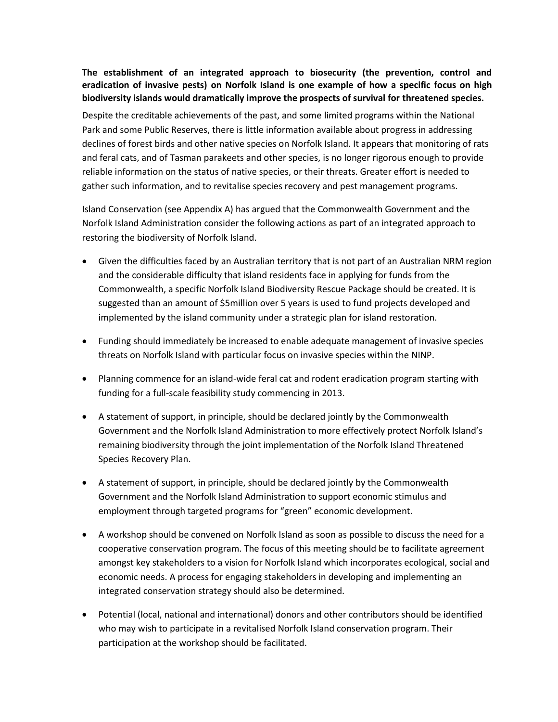## **The establishment of an integrated approach to biosecurity (the prevention, control and eradication of invasive pests) on Norfolk Island is one example of how a specific focus on high biodiversity islands would dramatically improve the prospects of survival for threatened species.**

Despite the creditable achievements of the past, and some limited programs within the National Park and some Public Reserves, there is little information available about progress in addressing declines of forest birds and other native species on Norfolk Island. It appears that monitoring of rats and feral cats, and of Tasman parakeets and other species, is no longer rigorous enough to provide reliable information on the status of native species, or their threats. Greater effort is needed to gather such information, and to revitalise species recovery and pest management programs.

Island Conservation (see Appendix A) has argued that the Commonwealth Government and the Norfolk Island Administration consider the following actions as part of an integrated approach to restoring the biodiversity of Norfolk Island.

- Given the difficulties faced by an Australian territory that is not part of an Australian NRM region and the considerable difficulty that island residents face in applying for funds from the Commonwealth, a specific Norfolk Island Biodiversity Rescue Package should be created. It is suggested than an amount of \$5million over 5 years is used to fund projects developed and implemented by the island community under a strategic plan for island restoration.
- Funding should immediately be increased to enable adequate management of invasive species threats on Norfolk Island with particular focus on invasive species within the NINP.
- Planning commence for an island-wide feral cat and rodent eradication program starting with funding for a full-scale feasibility study commencing in 2013.
- A statement of support, in principle, should be declared jointly by the Commonwealth Government and the Norfolk Island Administration to more effectively protect Norfolk Island's remaining biodiversity through the joint implementation of the Norfolk Island Threatened Species Recovery Plan.
- A statement of support, in principle, should be declared jointly by the Commonwealth Government and the Norfolk Island Administration to support economic stimulus and employment through targeted programs for "green" economic development.
- A workshop should be convened on Norfolk Island as soon as possible to discuss the need for a cooperative conservation program. The focus of this meeting should be to facilitate agreement amongst key stakeholders to a vision for Norfolk Island which incorporates ecological, social and economic needs. A process for engaging stakeholders in developing and implementing an integrated conservation strategy should also be determined.
- Potential (local, national and international) donors and other contributors should be identified who may wish to participate in a revitalised Norfolk Island conservation program. Their participation at the workshop should be facilitated.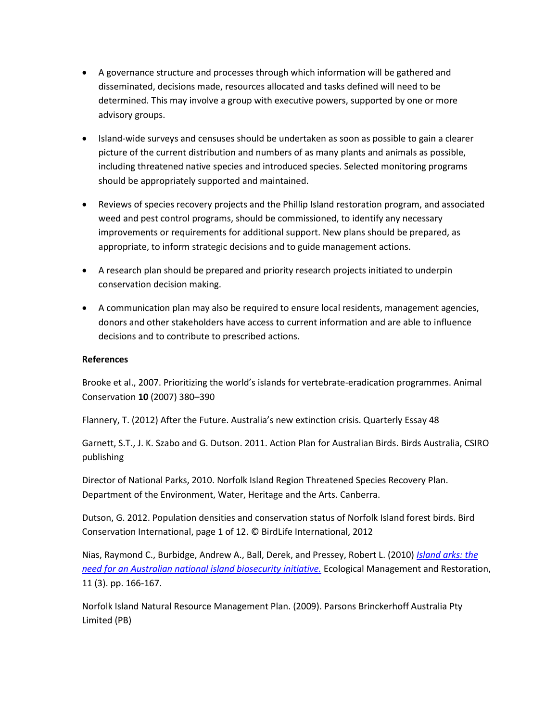- A governance structure and processes through which information will be gathered and disseminated, decisions made, resources allocated and tasks defined will need to be determined. This may involve a group with executive powers, supported by one or more advisory groups.
- Island-wide surveys and censuses should be undertaken as soon as possible to gain a clearer picture of the current distribution and numbers of as many plants and animals as possible, including threatened native species and introduced species. Selected monitoring programs should be appropriately supported and maintained.
- Reviews of species recovery projects and the Phillip Island restoration program, and associated weed and pest control programs, should be commissioned, to identify any necessary improvements or requirements for additional support. New plans should be prepared, as appropriate, to inform strategic decisions and to guide management actions.
- A research plan should be prepared and priority research projects initiated to underpin conservation decision making.
- A communication plan may also be required to ensure local residents, management agencies, donors and other stakeholders have access to current information and are able to influence decisions and to contribute to prescribed actions.

#### **References**

Brooke et al., 2007. Prioritizing the world's islands for vertebrate-eradication programmes. Animal Conservation **10** (2007) 380–390

Flannery, T. (2012) After the Future. Australia's new extinction crisis. Quarterly Essay 48

Garnett, S.T., J. K. Szabo and G. Dutson. 2011. Action Plan for Australian Birds. Birds Australia, CSIRO publishing

Director of National Parks, 2010. Norfolk Island Region Threatened Species Recovery Plan. Department of the Environment, Water, Heritage and the Arts. Canberra.

Dutson, G. 2012. Population densities and conservation status of Norfolk Island forest birds. Bird Conservation International, page 1 of 12. © BirdLife International, 2012

Nias, Raymond C., Burbidge, Andrew A., Ball, Derek, and Pressey, Robert L. (2010) *[Island arks: the](http://eprints.jcu.edu.au/16314/)  [need for an Australian national island biosecurity initiative.](http://eprints.jcu.edu.au/16314/)* Ecological Management and Restoration, 11 (3). pp. 166-167.

Norfolk Island Natural Resource Management Plan. (2009). Parsons Brinckerhoff Australia Pty Limited (PB)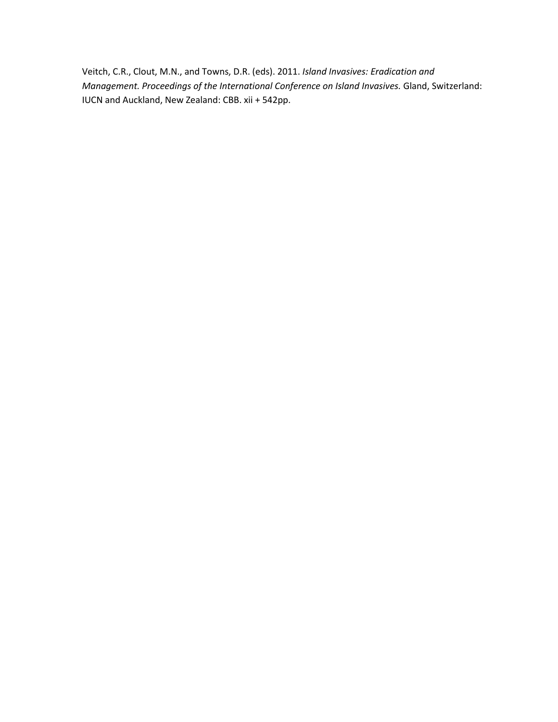Veitch, C.R., Clout, M.N., and Towns, D.R. (eds). 2011. *Island Invasives: Eradication and Management. Proceedings of the International Conference on Island Invasives.* Gland, Switzerland: IUCN and Auckland, New Zealand: CBB. xii + 542pp.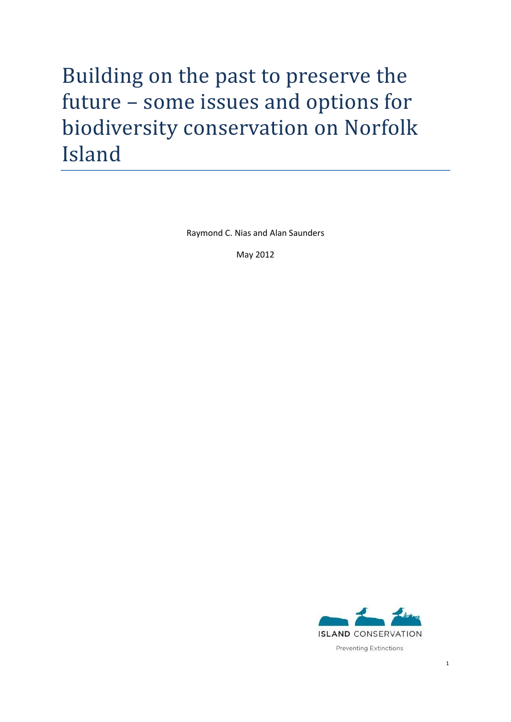# Building on the past to preserve the future – some issues and options for biodiversity conservation on Norfolk Island

Raymond C. Nias and Alan Saunders

May 2012

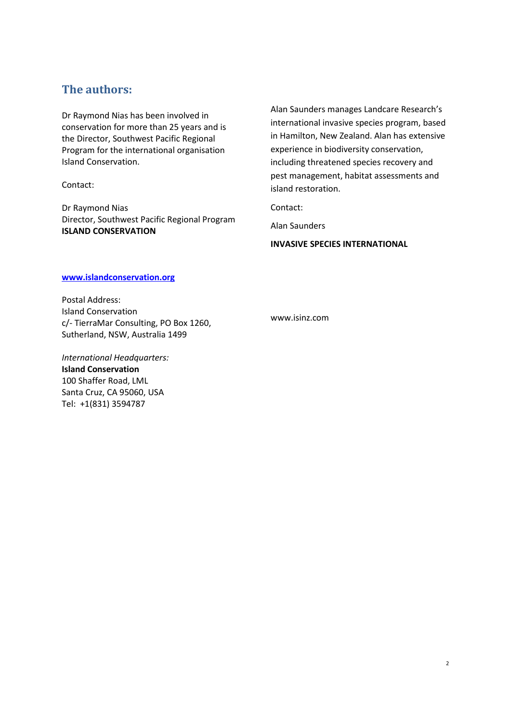## **The authors:**

Dr Raymond Nias has been involved in conservation for more than 25 years and is the Director, Southwest Pacific Regional Program for the international organisation Island Conservation.

Contact:

Dr Raymond Nias Director, Southwest Pacific Regional Program **ISLAND CONSERVATION** 

Alan Saunders manages Landcare Research's international invasive species program, based in Hamilton, New Zealand. Alan has extensive experience in biodiversity conservation, including threatened species recovery and pest management, habitat assessments and island restoration.

Contact:

Alan Saunders

**INVASIVE SPECIES INTERNATIONAL** 

### **www.islandconservation.org**

Postal Address: Island Conservation c/- TierraMar Consulting, PO Box 1260, Sutherland, NSW, Australia 1499

*International Headquarters:*  **Island Conservation** 100 Shaffer Road, LML Santa Cruz, CA 95060, USA Tel: +1(831) 3594787

www.isinz.com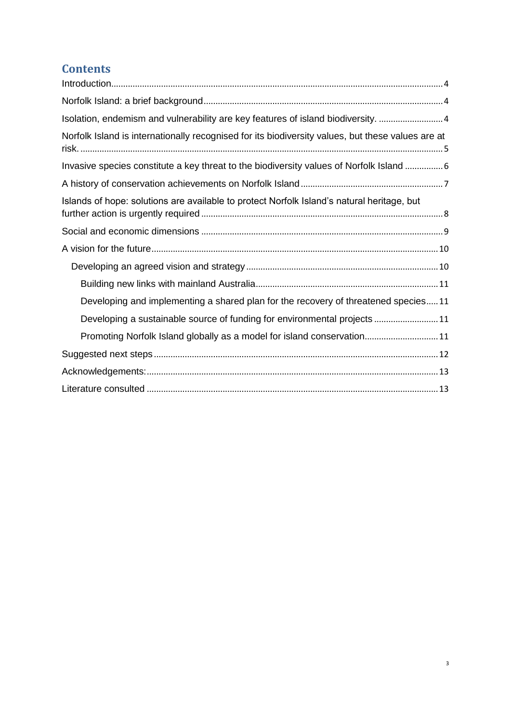# **Contents**

| Isolation, endemism and vulnerability are key features of island biodiversity. 4                  |
|---------------------------------------------------------------------------------------------------|
| Norfolk Island is internationally recognised for its biodiversity values, but these values are at |
| Invasive species constitute a key threat to the biodiversity values of Norfolk Island  6          |
|                                                                                                   |
| Islands of hope: solutions are available to protect Norfolk Island's natural heritage, but        |
|                                                                                                   |
|                                                                                                   |
|                                                                                                   |
|                                                                                                   |
| Developing and implementing a shared plan for the recovery of threatened species11                |
| Developing a sustainable source of funding for environmental projects 11                          |
| Promoting Norfolk Island globally as a model for island conservation11                            |
|                                                                                                   |
|                                                                                                   |
|                                                                                                   |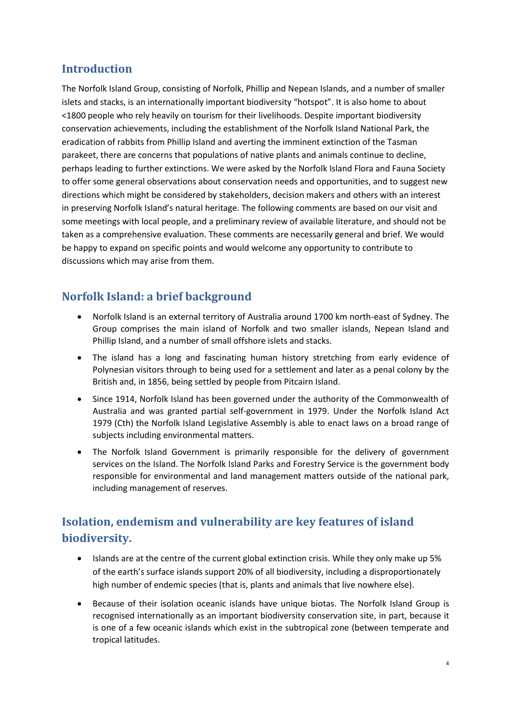# <span id="page-12-0"></span>**Introduction**

The Norfolk Island Group, consisting of Norfolk, Phillip and Nepean Islands, and a number of smaller islets and stacks, is an internationally important biodiversity "hotspot". It is also home to about <1800 people who rely heavily on tourism for their livelihoods. Despite important biodiversity conservation achievements, including the establishment of the Norfolk Island National Park, the eradication of rabbits from Phillip Island and averting the imminent extinction of the Tasman parakeet, there are concerns that populations of native plants and animals continue to decline, perhaps leading to further extinctions. We were asked by the Norfolk Island Flora and Fauna Society to offer some general observations about conservation needs and opportunities, and to suggest new directions which might be considered by stakeholders, decision makers and others with an interest in preserving Norfolk Island's natural heritage. The following comments are based on our visit and some meetings with local people, and a preliminary review of available literature, and should not be taken as a comprehensive evaluation. These comments are necessarily general and brief. We would be happy to expand on specific points and would welcome any opportunity to contribute to discussions which may arise from them.

# <span id="page-12-1"></span>**Norfolk Island: a brief background**

- Norfolk Island is an external territory of Australia around 1700 km north-east of Sydney. The Group comprises the main island of Norfolk and two smaller islands, Nepean Island and Phillip Island, and a number of small offshore islets and stacks.
- The island has a long and fascinating human history stretching from early evidence of Polynesian visitors through to being used for a settlement and later as a penal colony by the British and, in 1856, being settled by people from Pitcairn Island.
- Since 1914, Norfolk Island has been governed under the authority of the Commonwealth of Australia and was granted partial self-government in 1979. Under the Norfolk Island Act 1979 (Cth) the Norfolk Island Legislative Assembly is able to enact laws on a broad range of subjects including environmental matters.
- The Norfolk Island Government is primarily responsible for the delivery of government services on the Island. The Norfolk Island Parks and Forestry Service is the government body responsible for environmental and land management matters outside of the national park, including management of reserves.

# <span id="page-12-2"></span>**Isolation, endemism and vulnerability are key features of island biodiversity.**

- Islands are at the centre of the current global extinction crisis. While they only make up 5% of the earth's surface islands support 20% of all biodiversity, including a disproportionately high number of endemic species (that is, plants and animals that live nowhere else).
- Because of their isolation oceanic islands have unique biotas. The Norfolk Island Group is recognised internationally as an important biodiversity conservation site, in part, because it is one of a few oceanic islands which exist in the subtropical zone (between temperate and tropical latitudes.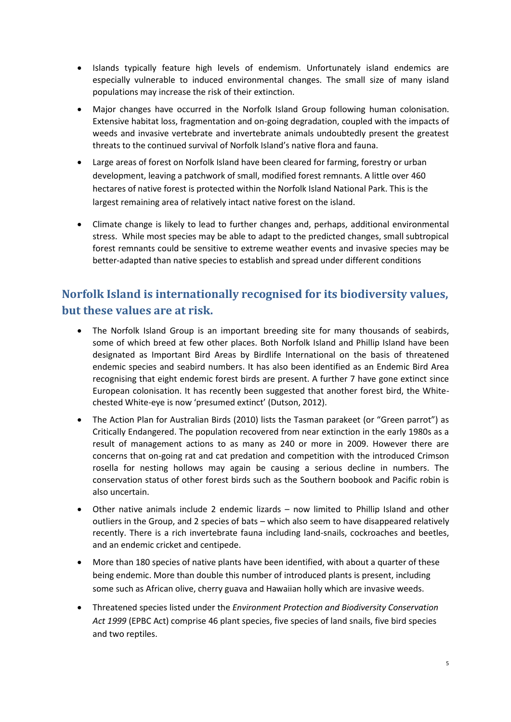- Islands typically feature high levels of endemism. Unfortunately island endemics are especially vulnerable to induced environmental changes. The small size of many island populations may increase the risk of their extinction.
- Major changes have occurred in the Norfolk Island Group following human colonisation. Extensive habitat loss, fragmentation and on-going degradation, coupled with the impacts of weeds and invasive vertebrate and invertebrate animals undoubtedly present the greatest threats to the continued survival of Norfolk Island's native flora and fauna.
- Large areas of forest on Norfolk Island have been cleared for farming, forestry or urban development, leaving a patchwork of small, modified forest remnants. A little over 460 hectares of native forest is protected within the Norfolk Island National Park. This is the largest remaining area of relatively intact native forest on the island.
- Climate change is likely to lead to further changes and, perhaps, additional environmental stress. While most species may be able to adapt to the predicted changes, small subtropical forest remnants could be sensitive to extreme weather events and invasive species may be better-adapted than native species to establish and spread under different conditions

# <span id="page-13-0"></span>**Norfolk Island is internationally recognised for its biodiversity values, but these values are at risk.**

- The Norfolk Island Group is an important breeding site for many thousands of seabirds, some of which breed at few other places. Both Norfolk Island and Phillip Island have been designated as Important Bird Areas by Birdlife International on the basis of threatened endemic species and seabird numbers. It has also been identified as an Endemic Bird Area recognising that eight endemic forest birds are present. A further 7 have gone extinct since European colonisation. It has recently been suggested that another forest bird, the Whitechested White-eye is now 'presumed extinct' (Dutson, 2012).
- The Action Plan for Australian Birds (2010) lists the Tasman parakeet (or "Green parrot") as Critically Endangered. The population recovered from near extinction in the early 1980s as a result of management actions to as many as 240 or more in 2009. However there are concerns that on-going rat and cat predation and competition with the introduced Crimson rosella for nesting hollows may again be causing a serious decline in numbers. The conservation status of other forest birds such as the Southern boobook and Pacific robin is also uncertain.
- Other native animals include 2 endemic lizards now limited to Phillip Island and other outliers in the Group, and 2 species of bats – which also seem to have disappeared relatively recently. There is a rich invertebrate fauna including land-snails, cockroaches and beetles, and an endemic cricket and centipede.
- More than 180 species of native plants have been identified, with about a quarter of these being endemic. More than double this number of introduced plants is present, including some such as African olive, cherry guava and Hawaiian holly which are invasive weeds.
- Threatened species listed under the *Environment Protection and Biodiversity Conservation Act 1999* (EPBC Act) comprise 46 plant species, five species of land snails, five bird species and two reptiles.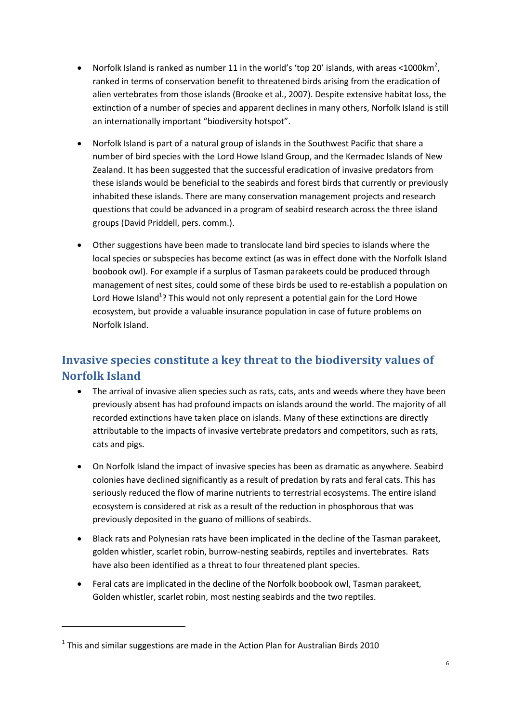- Norfolk Island is ranked as number 11 in the world's 'top 20' islands, with areas <1000 $km^2$ , ranked in terms of conservation benefit to threatened birds arising from the eradication of alien vertebrates from those islands (Brooke et al., 2007). Despite extensive habitat loss, the extinction of a number of species and apparent declines in many others, Norfolk Island is still an internationally important "biodiversity hotspot".
- Norfolk Island is part of a natural group of islands in the Southwest Pacific that share a number of bird species with the Lord Howe Island Group, and the Kermadec Islands of New Zealand. It has been suggested that the successful eradication of invasive predators from these islands would be beneficial to the seabirds and forest birds that currently or previously inhabited these islands. There are many conservation management projects and research questions that could be advanced in a program of seabird research across the three island groups (David Priddell, pers. comm.).
- Other suggestions have been made to translocate land bird species to islands where the local species or subspecies has become extinct (as was in effect done with the Norfolk Island boobook owl). For example if a surplus of Tasman parakeets could be produced through management of nest sites, could some of these birds be used to re-establish a population on Lord Howe Island<sup>1</sup>? This would not only represent a potential gain for the Lord Howe ecosystem, but provide a valuable insurance population in case of future problems on Norfolk Island.

# <span id="page-14-0"></span>**Invasive species constitute a key threat to the biodiversity values of Norfolk Island**

- The arrival of invasive alien species such as rats, cats, ants and weeds where they have been previously absent has had profound impacts on islands around the world. The majority of all recorded extinctions have taken place on islands. Many of these extinctions are directly attributable to the impacts of invasive vertebrate predators and competitors, such as rats, cats and pigs.
- On Norfolk Island the impact of invasive species has been as dramatic as anywhere. Seabird colonies have declined significantly as a result of predation by rats and feral cats. This has seriously reduced the flow of marine nutrients to terrestrial ecosystems. The entire island ecosystem is considered at risk as a result of the reduction in phosphorous that was previously deposited in the guano of millions of seabirds.
- Black rats and Polynesian rats have been implicated in the decline of the Tasman parakeet, golden whistler, scarlet robin, burrow-nesting seabirds, reptiles and invertebrates. Rats have also been identified as a threat to four threatened plant species.
- Feral cats are implicated in the decline of the Norfolk boobook owl, Tasman parakeet, Golden whistler, scarlet robin, most nesting seabirds and the two reptiles.

1

 $1$  This and similar suggestions are made in the Action Plan for Australian Birds 2010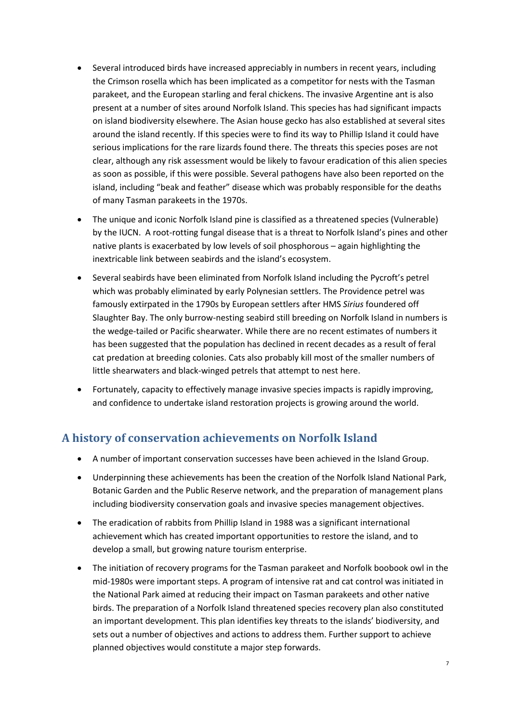- Several introduced birds have increased appreciably in numbers in recent years, including the Crimson rosella which has been implicated as a competitor for nests with the Tasman parakeet, and the European starling and feral chickens. The invasive Argentine ant is also present at a number of sites around Norfolk Island. This species has had significant impacts on island biodiversity elsewhere. The Asian house gecko has also established at several sites around the island recently. If this species were to find its way to Phillip Island it could have serious implications for the rare lizards found there. The threats this species poses are not clear, although any risk assessment would be likely to favour eradication of this alien species as soon as possible, if this were possible. Several pathogens have also been reported on the island, including "beak and feather" disease which was probably responsible for the deaths of many Tasman parakeets in the 1970s.
- The unique and iconic Norfolk Island pine is classified as a threatened species (Vulnerable) by the IUCN. A root-rotting fungal disease that is a threat to Norfolk Island's pines and other native plants is exacerbated by low levels of soil phosphorous – again highlighting the inextricable link between seabirds and the island's ecosystem.
- Several seabirds have been eliminated from Norfolk Island including the Pycroft's petrel which was probably eliminated by early Polynesian settlers. The Providence petrel was famously extirpated in the 1790s by European settlers after HMS *Sirius* foundered off Slaughter Bay. The only burrow-nesting seabird still breeding on Norfolk Island in numbers is the wedge-tailed or Pacific shearwater. While there are no recent estimates of numbers it has been suggested that the population has declined in recent decades as a result of feral cat predation at breeding colonies. Cats also probably kill most of the smaller numbers of little shearwaters and black-winged petrels that attempt to nest here.
- Fortunately, capacity to effectively manage invasive species impacts is rapidly improving, and confidence to undertake island restoration projects is growing around the world.

# <span id="page-15-0"></span>**A history of conservation achievements on Norfolk Island**

- A number of important conservation successes have been achieved in the Island Group.
- Underpinning these achievements has been the creation of the Norfolk Island National Park, Botanic Garden and the Public Reserve network, and the preparation of management plans including biodiversity conservation goals and invasive species management objectives.
- The eradication of rabbits from Phillip Island in 1988 was a significant international achievement which has created important opportunities to restore the island, and to develop a small, but growing nature tourism enterprise.
- The initiation of recovery programs for the Tasman parakeet and Norfolk boobook owl in the mid-1980s were important steps. A program of intensive rat and cat control was initiated in the National Park aimed at reducing their impact on Tasman parakeets and other native birds. The preparation of a Norfolk Island threatened species recovery plan also constituted an important development. This plan identifies key threats to the islands' biodiversity, and sets out a number of objectives and actions to address them. Further support to achieve planned objectives would constitute a major step forwards.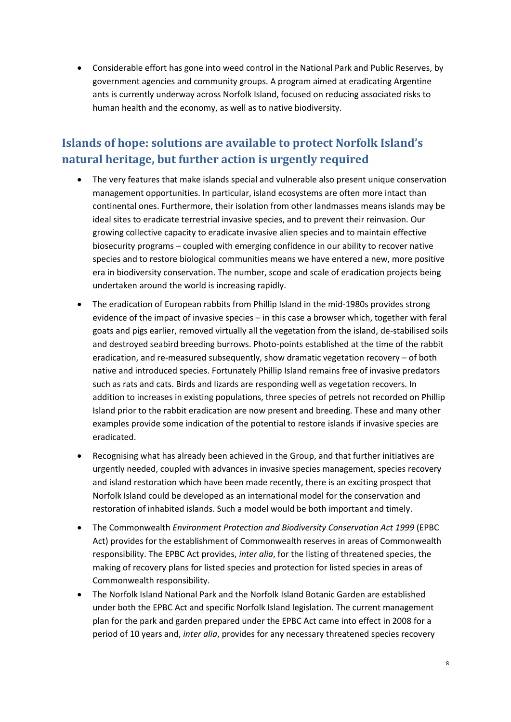Considerable effort has gone into weed control in the National Park and Public Reserves, by government agencies and community groups. A program aimed at eradicating Argentine ants is currently underway across Norfolk Island, focused on reducing associated risks to human health and the economy, as well as to native biodiversity.

# <span id="page-16-0"></span>**Islands of hope: solutions are available to protect Norfolk Island's natural heritage, but further action is urgently required**

- The very features that make islands special and vulnerable also present unique conservation management opportunities. In particular, island ecosystems are often more intact than continental ones. Furthermore, their isolation from other landmasses means islands may be ideal sites to eradicate terrestrial invasive species, and to prevent their reinvasion. Our growing collective capacity to eradicate invasive alien species and to maintain effective biosecurity programs – coupled with emerging confidence in our ability to recover native species and to restore biological communities means we have entered a new, more positive era in biodiversity conservation. The number, scope and scale of eradication projects being undertaken around the world is increasing rapidly.
- The eradication of European rabbits from Phillip Island in the mid-1980s provides strong evidence of the impact of invasive species – in this case a browser which, together with feral goats and pigs earlier, removed virtually all the vegetation from the island, de-stabilised soils and destroyed seabird breeding burrows. Photo-points established at the time of the rabbit eradication, and re-measured subsequently, show dramatic vegetation recovery – of both native and introduced species. Fortunately Phillip Island remains free of invasive predators such as rats and cats. Birds and lizards are responding well as vegetation recovers. In addition to increases in existing populations, three species of petrels not recorded on Phillip Island prior to the rabbit eradication are now present and breeding. These and many other examples provide some indication of the potential to restore islands if invasive species are eradicated.
- Recognising what has already been achieved in the Group, and that further initiatives are urgently needed, coupled with advances in invasive species management, species recovery and island restoration which have been made recently, there is an exciting prospect that Norfolk Island could be developed as an international model for the conservation and restoration of inhabited islands. Such a model would be both important and timely.
- The Commonwealth *Environment Protection and Biodiversity Conservation Act 1999* (EPBC Act) provides for the establishment of Commonwealth reserves in areas of Commonwealth responsibility. The EPBC Act provides, *inter alia*, for the listing of threatened species, the making of recovery plans for listed species and protection for listed species in areas of Commonwealth responsibility.
- The Norfolk Island National Park and the Norfolk Island Botanic Garden are established under both the EPBC Act and specific Norfolk Island legislation. The current management plan for the park and garden prepared under the EPBC Act came into effect in 2008 for a period of 10 years and, *inter alia*, provides for any necessary threatened species recovery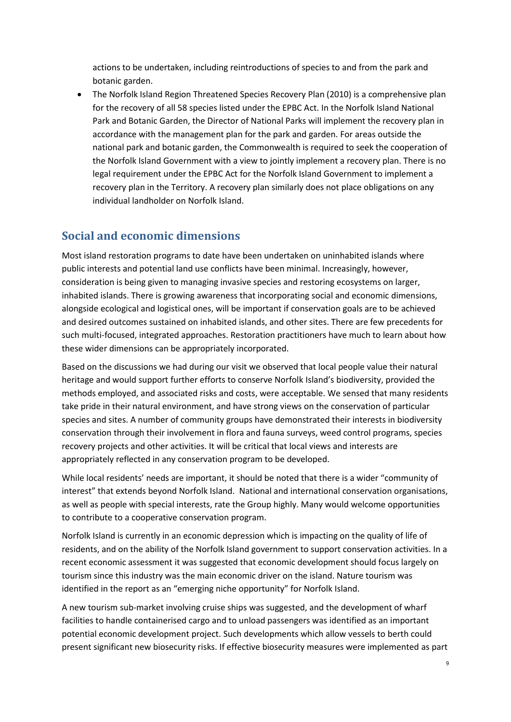actions to be undertaken, including reintroductions of species to and from the park and botanic garden.

 The Norfolk Island Region Threatened Species Recovery Plan (2010) is a comprehensive plan for the recovery of all 58 species listed under the EPBC Act. In the Norfolk Island National Park and Botanic Garden, the Director of National Parks will implement the recovery plan in accordance with the management plan for the park and garden. For areas outside the national park and botanic garden, the Commonwealth is required to seek the cooperation of the Norfolk Island Government with a view to jointly implement a recovery plan. There is no legal requirement under the EPBC Act for the Norfolk Island Government to implement a recovery plan in the Territory. A recovery plan similarly does not place obligations on any individual landholder on Norfolk Island.

## <span id="page-17-0"></span>**Social and economic dimensions**

Most island restoration programs to date have been undertaken on uninhabited islands where public interests and potential land use conflicts have been minimal. Increasingly, however, consideration is being given to managing invasive species and restoring ecosystems on larger, inhabited islands. There is growing awareness that incorporating social and economic dimensions, alongside ecological and logistical ones, will be important if conservation goals are to be achieved and desired outcomes sustained on inhabited islands, and other sites. There are few precedents for such multi-focused, integrated approaches. Restoration practitioners have much to learn about how these wider dimensions can be appropriately incorporated.

Based on the discussions we had during our visit we observed that local people value their natural heritage and would support further efforts to conserve Norfolk Island's biodiversity, provided the methods employed, and associated risks and costs, were acceptable. We sensed that many residents take pride in their natural environment, and have strong views on the conservation of particular species and sites. A number of community groups have demonstrated their interests in biodiversity conservation through their involvement in flora and fauna surveys, weed control programs, species recovery projects and other activities. It will be critical that local views and interests are appropriately reflected in any conservation program to be developed.

While local residents' needs are important, it should be noted that there is a wider "community of interest" that extends beyond Norfolk Island. National and international conservation organisations, as well as people with special interests, rate the Group highly. Many would welcome opportunities to contribute to a cooperative conservation program.

Norfolk Island is currently in an economic depression which is impacting on the quality of life of residents, and on the ability of the Norfolk Island government to support conservation activities. In a recent economic assessment it was suggested that economic development should focus largely on tourism since this industry was the main economic driver on the island. Nature tourism was identified in the report as an "emerging niche opportunity" for Norfolk Island.

A new tourism sub-market involving cruise ships was suggested, and the development of wharf facilities to handle containerised cargo and to unload passengers was identified as an important potential economic development project. Such developments which allow vessels to berth could present significant new biosecurity risks. If effective biosecurity measures were implemented as part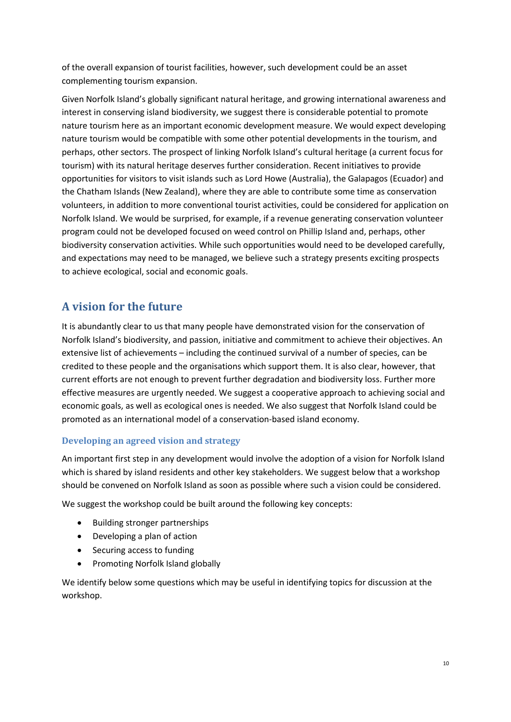of the overall expansion of tourist facilities, however, such development could be an asset complementing tourism expansion.

Given Norfolk Island's globally significant natural heritage, and growing international awareness and interest in conserving island biodiversity, we suggest there is considerable potential to promote nature tourism here as an important economic development measure. We would expect developing nature tourism would be compatible with some other potential developments in the tourism, and perhaps, other sectors. The prospect of linking Norfolk Island's cultural heritage (a current focus for tourism) with its natural heritage deserves further consideration. Recent initiatives to provide opportunities for visitors to visit islands such as Lord Howe (Australia), the Galapagos (Ecuador) and the Chatham Islands (New Zealand), where they are able to contribute some time as conservation volunteers, in addition to more conventional tourist activities, could be considered for application on Norfolk Island. We would be surprised, for example, if a revenue generating conservation volunteer program could not be developed focused on weed control on Phillip Island and, perhaps, other biodiversity conservation activities. While such opportunities would need to be developed carefully, and expectations may need to be managed, we believe such a strategy presents exciting prospects to achieve ecological, social and economic goals.

## <span id="page-18-0"></span>**A vision for the future**

It is abundantly clear to us that many people have demonstrated vision for the conservation of Norfolk Island's biodiversity, and passion, initiative and commitment to achieve their objectives. An extensive list of achievements – including the continued survival of a number of species, can be credited to these people and the organisations which support them. It is also clear, however, that current efforts are not enough to prevent further degradation and biodiversity loss. Further more effective measures are urgently needed. We suggest a cooperative approach to achieving social and economic goals, as well as ecological ones is needed. We also suggest that Norfolk Island could be promoted as an international model of a conservation-based island economy.

## <span id="page-18-1"></span>**Developing an agreed vision and strategy**

An important first step in any development would involve the adoption of a vision for Norfolk Island which is shared by island residents and other key stakeholders. We suggest below that a workshop should be convened on Norfolk Island as soon as possible where such a vision could be considered.

We suggest the workshop could be built around the following key concepts:

- Building stronger partnerships
- Developing a plan of action
- Securing access to funding
- Promoting Norfolk Island globally

We identify below some questions which may be useful in identifying topics for discussion at the workshop.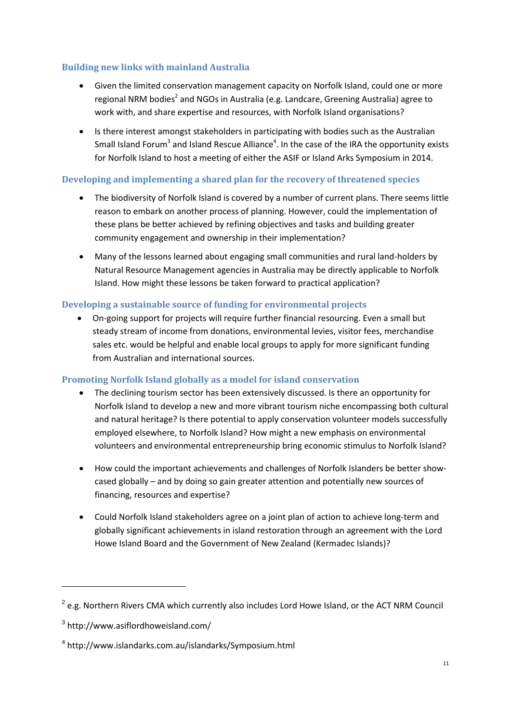## <span id="page-19-0"></span>**Building new links with mainland Australia**

- Given the limited conservation management capacity on Norfolk Island, could one or more regional NRM bodies<sup>2</sup> and NGOs in Australia (e.g. Landcare, Greening Australia) agree to work with, and share expertise and resources, with Norfolk Island organisations?
- Is there interest amongst stakeholders in participating with bodies such as the Australian Small Island Forum<sup>3</sup> and Island Rescue Alliance<sup>4</sup>. In the case of the IRA the opportunity exists for Norfolk Island to host a meeting of either the ASIF or Island Arks Symposium in 2014.

## <span id="page-19-1"></span>**Developing and implementing a shared plan for the recovery of threatened species**

- The biodiversity of Norfolk Island is covered by a number of current plans. There seems little reason to embark on another process of planning. However, could the implementation of these plans be better achieved by refining objectives and tasks and building greater community engagement and ownership in their implementation?
- Many of the lessons learned about engaging small communities and rural land-holders by Natural Resource Management agencies in Australia may be directly applicable to Norfolk Island. How might these lessons be taken forward to practical application?

## <span id="page-19-2"></span>**Developing a sustainable source of funding for environmental projects**

 On-going support for projects will require further financial resourcing. Even a small but steady stream of income from donations, environmental levies, visitor fees, merchandise sales etc. would be helpful and enable local groups to apply for more significant funding from Australian and international sources.

## <span id="page-19-3"></span>**Promoting Norfolk Island globally as a model for island conservation**

- The declining tourism sector has been extensively discussed. Is there an opportunity for Norfolk Island to develop a new and more vibrant tourism niche encompassing both cultural and natural heritage? Is there potential to apply conservation volunteer models successfully employed elsewhere, to Norfolk Island? How might a new emphasis on environmental volunteers and environmental entrepreneurship bring economic stimulus to Norfolk Island?
- How could the important achievements and challenges of Norfolk Islanders be better showcased globally – and by doing so gain greater attention and potentially new sources of financing, resources and expertise?
- Could Norfolk Island stakeholders agree on a joint plan of action to achieve long-term and globally significant achievements in island restoration through an agreement with the Lord Howe Island Board and the Government of New Zealand (Kermadec Islands)?

**.** 

<sup>&</sup>lt;sup>2</sup> e.g. Northern Rivers CMA which currently also includes Lord Howe Island, or the ACT NRM Council

<sup>3</sup> http://www.asiflordhoweisland.com/

<sup>4</sup> http://www.islandarks.com.au/islandarks/Symposium.html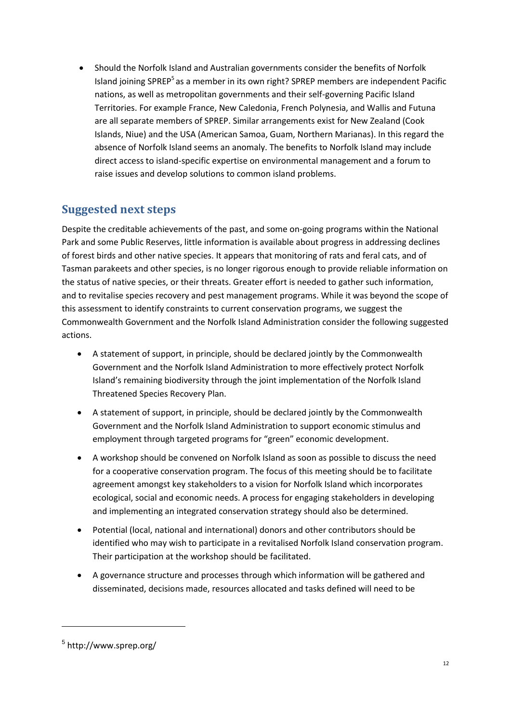Should the Norfolk Island and Australian governments consider the benefits of Norfolk Island joining SPREP<sup>5</sup> as a member in its own right? SPREP members are independent Pacific nations, as well as metropolitan governments and their self-governing Pacific Island Territories. For example France, New Caledonia, French Polynesia, and Wallis and Futuna are all separate members of SPREP. Similar arrangements exist for New Zealand (Cook Islands, Niue) and the USA (American Samoa, Guam, Northern Marianas). In this regard the absence of Norfolk Island seems an anomaly. The benefits to Norfolk Island may include direct access to island-specific expertise on environmental management and a forum to raise issues and develop solutions to common island problems.

# <span id="page-20-0"></span>**Suggested next steps**

Despite the creditable achievements of the past, and some on-going programs within the National Park and some Public Reserves, little information is available about progress in addressing declines of forest birds and other native species. It appears that monitoring of rats and feral cats, and of Tasman parakeets and other species, is no longer rigorous enough to provide reliable information on the status of native species, or their threats. Greater effort is needed to gather such information, and to revitalise species recovery and pest management programs. While it was beyond the scope of this assessment to identify constraints to current conservation programs, we suggest the Commonwealth Government and the Norfolk Island Administration consider the following suggested actions.

- A statement of support, in principle, should be declared jointly by the Commonwealth Government and the Norfolk Island Administration to more effectively protect Norfolk Island's remaining biodiversity through the joint implementation of the Norfolk Island Threatened Species Recovery Plan.
- A statement of support, in principle, should be declared jointly by the Commonwealth Government and the Norfolk Island Administration to support economic stimulus and employment through targeted programs for "green" economic development.
- A workshop should be convened on Norfolk Island as soon as possible to discuss the need for a cooperative conservation program. The focus of this meeting should be to facilitate agreement amongst key stakeholders to a vision for Norfolk Island which incorporates ecological, social and economic needs. A process for engaging stakeholders in developing and implementing an integrated conservation strategy should also be determined.
- Potential (local, national and international) donors and other contributors should be identified who may wish to participate in a revitalised Norfolk Island conservation program. Their participation at the workshop should be facilitated.
- A governance structure and processes through which information will be gathered and disseminated, decisions made, resources allocated and tasks defined will need to be

1

<sup>5</sup> http://www.sprep.org/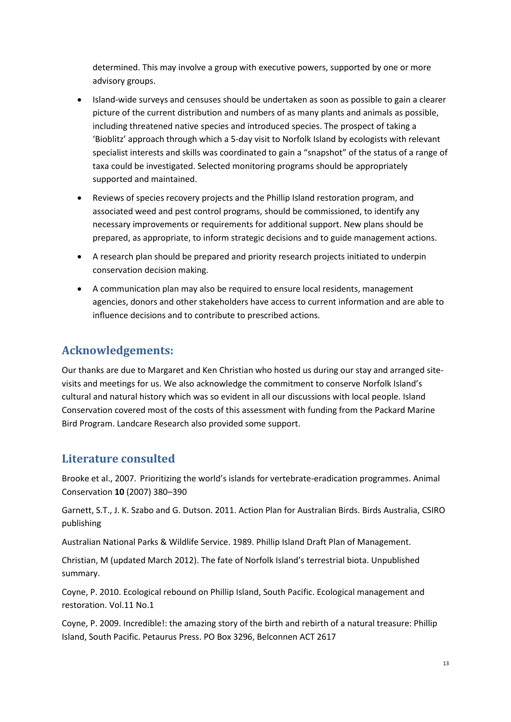determined. This may involve a group with executive powers, supported by one or more advisory groups.

- Island-wide surveys and censuses should be undertaken as soon as possible to gain a clearer picture of the current distribution and numbers of as many plants and animals as possible, including threatened native species and introduced species. The prospect of taking a 'Bioblitz' approach through which a 5-day visit to Norfolk Island by ecologists with relevant specialist interests and skills was coordinated to gain a "snapshot" of the status of a range of taxa could be investigated. Selected monitoring programs should be appropriately supported and maintained.
- Reviews of species recovery projects and the Phillip Island restoration program, and associated weed and pest control programs, should be commissioned, to identify any necessary improvements or requirements for additional support. New plans should be prepared, as appropriate, to inform strategic decisions and to guide management actions.
- A research plan should be prepared and priority research projects initiated to underpin conservation decision making.
- A communication plan may also be required to ensure local residents, management agencies, donors and other stakeholders have access to current information and are able to influence decisions and to contribute to prescribed actions.

## <span id="page-21-0"></span>**Acknowledgements:**

Our thanks are due to Margaret and Ken Christian who hosted us during our stay and arranged sitevisits and meetings for us. We also acknowledge the commitment to conserve Norfolk Island's cultural and natural history which was so evident in all our discussions with local people. Island Conservation covered most of the costs of this assessment with funding from the Packard Marine Bird Program. Landcare Research also provided some support.

## <span id="page-21-1"></span>**Literature consulted**

Brooke et al., 2007. Prioritizing the world's islands for vertebrate-eradication programmes. Animal Conservation **10** (2007) 380–390

Garnett, S.T., J. K. Szabo and G. Dutson. 2011. Action Plan for Australian Birds. Birds Australia, CSIRO publishing

Australian National Parks & Wildlife Service. 1989. Phillip Island Draft Plan of Management.

Christian, M (updated March 2012). The fate of Norfolk Island's terrestrial biota. Unpublished summary.

Coyne, P. 2010. Ecological rebound on Phillip Island, South Pacific. Ecological management and restoration. Vol.11 No.1

Coyne, P. 2009. Incredible!: the amazing story of the birth and rebirth of a natural treasure: Phillip Island, South Pacific. Petaurus Press. PO Box 3296, Belconnen ACT 2617